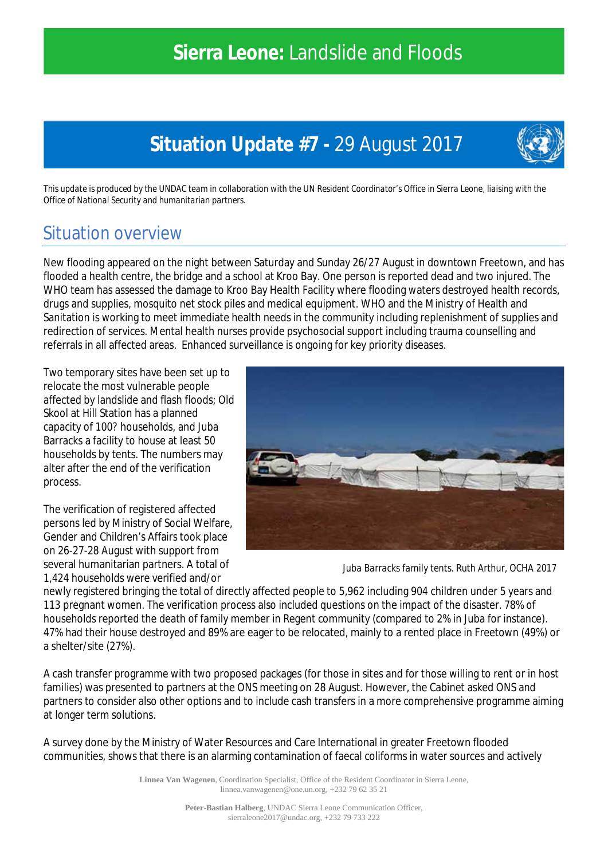# **Situation Update #7 -** 29 August 2017



*This update is produced by the UNDAC team in collaboration with the UN Resident Coordinator's Office in Sierra Leone, liaising with the Office of National Security and humanitarian partners.*

### Situation overview

New flooding appeared on the night between Saturday and Sunday 26/27 August in downtown Freetown, and has flooded a health centre, the bridge and a school at Kroo Bay. One person is reported dead and two injured. The WHO team has assessed the damage to Kroo Bay Health Facility where flooding waters destroyed health records, drugs and supplies, mosquito net stock piles and medical equipment. WHO and the Ministry of Health and Sanitation is working to meet immediate health needs in the community including replenishment of supplies and redirection of services. Mental health nurses provide psychosocial support including trauma counselling and referrals in all affected areas. Enhanced surveillance is ongoing for key priority diseases.

Two temporary sites have been set up to relocate the most vulnerable people affected by landslide and flash floods; Old Skool at Hill Station has a planned capacity of 100? households, and Juba Barracks a facility to house at least 50 households by tents. The numbers may alter after the end of the verification process.

The verification of registered affected persons led by Ministry of Social Welfare, Gender and Children's Affairs took place on 26-27-28 August with support from several humanitarian partners. A total of 1,424 households were verified and/or



*Juba Barracks family tents. Ruth Arthur, OCHA 2017*

newly registered bringing the total of directly affected people to 5,962 including 904 children under 5 years and 113 pregnant women. The verification process also included questions on the impact of the disaster. 78% of households reported the death of family member in Regent community (compared to 2% in Juba for instance). 47% had their house destroyed and 89% are eager to be relocated, mainly to a rented place in Freetown (49%) or a shelter/site (27%).

A cash transfer programme with two proposed packages (for those in sites and for those willing to rent or in host families) was presented to partners at the ONS meeting on 28 August. However, the Cabinet asked ONS and partners to consider also other options and to include cash transfers in a more comprehensive programme aiming at longer term solutions.

A survey done by the Ministry of Water Resources and Care International in greater Freetown flooded communities, shows that there is an alarming contamination of faecal coliforms in water sources and actively

> **Linnea Van Wagenen**, Coordination Specialist, Office of the Resident Coordinator in Sierra Leone, linnea.vanwagenen@one.un.org, +232 79 62 35 21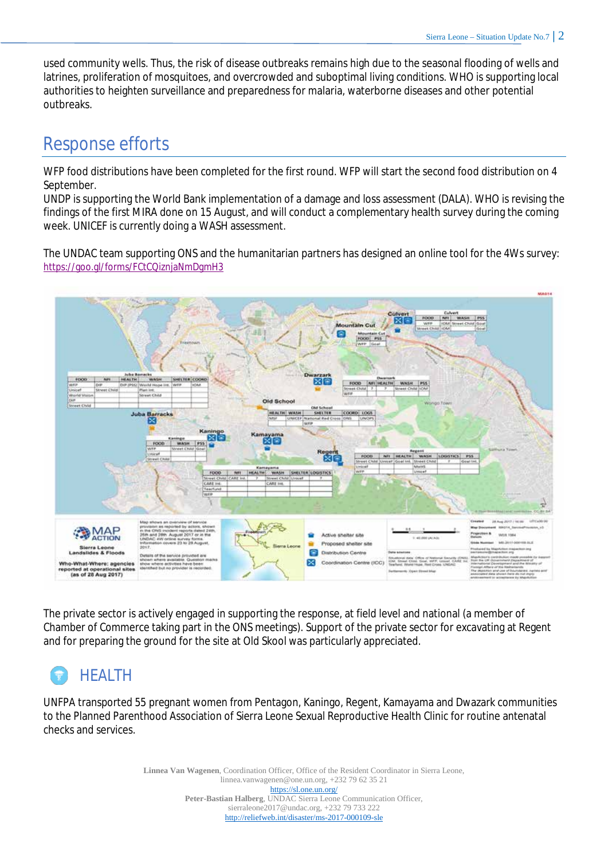used community wells. Thus, the risk of disease outbreaks remains high due to the seasonal flooding of wells and latrines, proliferation of mosquitoes, and overcrowded and suboptimal living conditions. WHO is supporting local authorities to heighten surveillance and preparedness for malaria, waterborne diseases and other potential outbreaks.

### Response efforts

WFP food distributions have been completed for the first round. WFP will start the second food distribution on 4 September.

UNDP is supporting the World Bank implementation of a damage and loss assessment (DALA). WHO is revising the findings of the first MIRA done on 15 August, and will conduct a complementary health survey during the coming week. UNICEF is currently doing a WASH assessment.

The UNDAC team supporting ONS and the humanitarian partners has designed an online tool for the 4Ws survey: <https://goo.gl/forms/FCtCQiznjaNmDgmH3>



The private sector is actively engaged in supporting the response, at field level and national (a member of Chamber of Commerce taking part in the ONS meetings). Support of the private sector for excavating at Regent and for preparing the ground for the site at Old Skool was particularly appreciated.



UNFPA transported 55 pregnant women from Pentagon, Kaningo, Regent, Kamayama and Dwazark communities to the Planned Parenthood Association of Sierra Leone Sexual Reproductive Health Clinic for routine antenatal checks and services.

> **Linnea Van Wagenen**, Coordination Officer, Office of the Resident Coordinator in Sierra Leone, linnea.vanwagenen@one.un.org, +232 79 62 35 21 <https://sl.one.un.org/> **Peter-Bastian Halberg**, UNDAC Sierra Leone Communication Officer, [sierraleone2017@undac.org,](mailto:sierraleone2017@undac.org) +232 79 733 222 http://reliefweb.int/disaster/ms-2017-000109-sle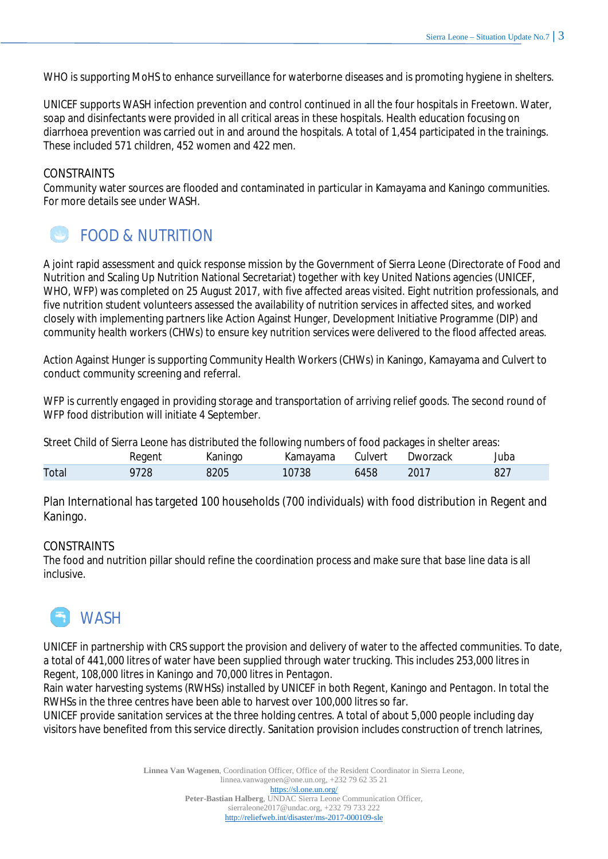WHO is supporting MoHS to enhance surveillance for waterborne diseases and is promoting hygiene in shelters.

UNICEF supports WASH infection prevention and control continued in all the four hospitals in Freetown. Water, soap and disinfectants were provided in all critical areas in these hospitals. Health education focusing on diarrhoea prevention was carried out in and around the hospitals. A total of 1,454 participated in the trainings. These included 571 children, 452 women and 422 men.

#### CONSTRAINTS

Community water sources are flooded and contaminated in particular in Kamayama and Kaningo communities. For more details see under WASH.

### FOOD & NUTRITION

A joint rapid assessment and quick response mission by the Government of Sierra Leone (Directorate of Food and Nutrition and Scaling Up Nutrition National Secretariat) together with key United Nations agencies (UNICEF, WHO, WFP) was completed on 25 August 2017, with five affected areas visited. Eight nutrition professionals, and five nutrition student volunteers assessed the availability of nutrition services in affected sites, and worked closely with implementing partners like Action Against Hunger, Development Initiative Programme (DIP) and community health workers (CHWs) to ensure key nutrition services were delivered to the flood affected areas.

Action Against Hunger is supporting Community Health Workers (CHWs) in Kaningo, Kamayama and Culvert to conduct community screening and referral.

WFP is currently engaged in providing storage and transportation of arriving relief goods. The second round of WFP food distribution will initiate 4 September.

Street Child of Sierra Leone has distributed the following numbers of food packages in shelter areas:

|       | Regent | Kaningo | Kamavama | Culvert | ີ<br>Dworzack | Juba     |
|-------|--------|---------|----------|---------|---------------|----------|
| Total |        | 9205    | 10738    | 6458    |               | ാ $\sim$ |

Plan International has targeted 100 households (700 individuals) with food distribution in Regent and Kaningo.

#### **CONSTRAINTS**

The food and nutrition pillar should refine the coordination process and make sure that base line data is all inclusive.



UNICEF in partnership with CRS support the provision and delivery of water to the affected communities. To date, a total of 441,000 litres of water have been supplied through water trucking. This includes 253,000 litres in Regent, 108,000 litres in Kaningo and 70,000 litres in Pentagon.

Rain water harvesting systems (RWHSs) installed by UNICEF in both Regent, Kaningo and Pentagon. In total the RWHSs in the three centres have been able to harvest over 100,000 litres so far.

UNICEF provide sanitation services at the three holding centres. A total of about 5,000 people including day visitors have benefited from this service directly. Sanitation provision includes construction of trench latrines,

> **Linnea Van Wagenen**, Coordination Officer, Office of the Resident Coordinator in Sierra Leone, linnea.vanwagenen@one.un.org, +232 79 62 35 21 <https://sl.one.un.org/> **Peter-Bastian Halberg**, UNDAC Sierra Leone Communication Officer, [sierraleone2017@undac.org,](mailto:sierraleone2017@undac.org) +232 79 733 222 http://reliefweb.int/disaster/ms-2017-000109-sle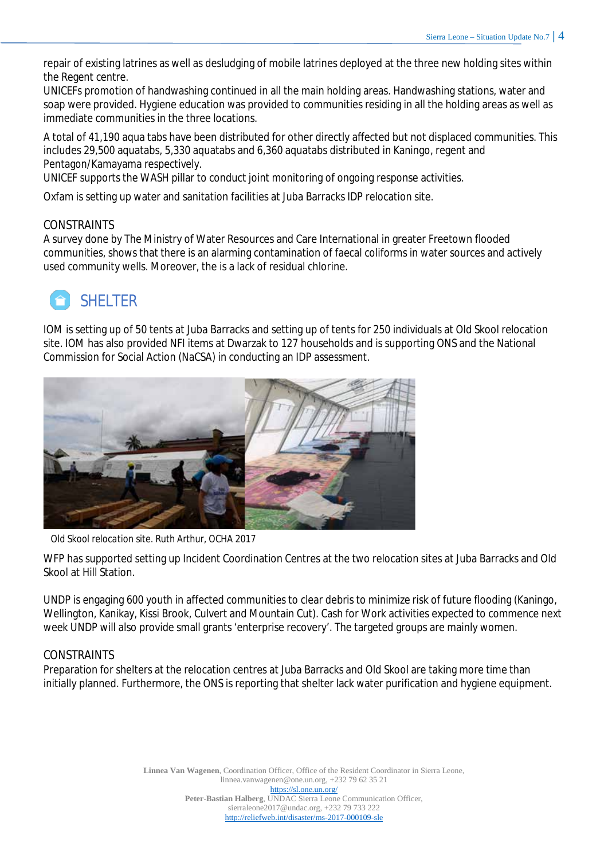repair of existing latrines as well as desludging of mobile latrines deployed at the three new holding sites within the Regent centre.

UNICEFs promotion of handwashing continued in all the main holding areas. Handwashing stations, water and soap were provided. Hygiene education was provided to communities residing in all the holding areas as well as immediate communities in the three locations.

A total of 41,190 aqua tabs have been distributed for other directly affected but not displaced communities. This includes 29,500 aquatabs, 5,330 aquatabs and 6,360 aquatabs distributed in Kaningo, regent and Pentagon/Kamayama respectively.

UNICEF supports the WASH pillar to conduct joint monitoring of ongoing response activities.

Oxfam is setting up water and sanitation facilities at Juba Barracks IDP relocation site.

#### CONSTRAINTS

A survey done by The Ministry of Water Resources and Care International in greater Freetown flooded communities, shows that there is an alarming contamination of faecal coliforms in water sources and actively used community wells. Moreover, the is a lack of residual chlorine.

## **SHELTER**

IOM is setting up of 50 tents at Juba Barracks and setting up of tents for 250 individuals at Old Skool relocation site. IOM has also provided NFI items at Dwarzak to 127 households and is supporting ONS and the National Commission for Social Action (NaCSA) in conducting an IDP assessment.



*Old Skool relocation site. Ruth Arthur, OCHA 2017*

WFP has supported setting up Incident Coordination Centres at the two relocation sites at Juba Barracks and Old Skool at Hill Station.

UNDP is engaging 600 youth in affected communities to clear debris to minimize risk of future flooding (Kaningo, Wellington, Kanikay, Kissi Brook, Culvert and Mountain Cut). Cash for Work activities expected to commence next week UNDP will also provide small grants 'enterprise recovery'. The targeted groups are mainly women.

#### **CONSTRAINTS**

Preparation for shelters at the relocation centres at Juba Barracks and Old Skool are taking more time than initially planned. Furthermore, the ONS is reporting that shelter lack water purification and hygiene equipment.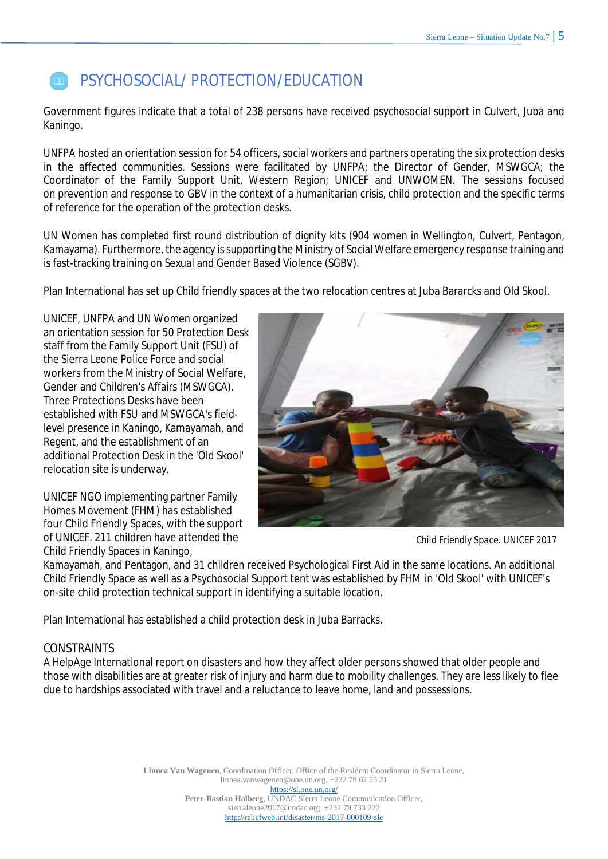### PSYCHOSOCIAL/ PROTECTION/EDUCATION

Government figures indicate that a total of 238 persons have received psychosocial support in Culvert, Juba and Kaningo.

UNFPA hosted an orientation session for 54 officers, social workers and partners operating the six protection desks in the affected communities. Sessions were facilitated by UNFPA; the Director of Gender, MSWGCA; the Coordinator of the Family Support Unit, Western Region; UNICEF and UNWOMEN. The sessions focused on prevention and response to GBV in the context of a humanitarian crisis, child protection and the specific terms of reference for the operation of the protection desks.

UN Women has completed first round distribution of dignity kits (904 women in Wellington, Culvert, Pentagon, Kamayama). Furthermore, the agency is supporting the Ministry of Social Welfare emergency response training and is fast-tracking training on Sexual and Gender Based Violence (SGBV).

Plan International has set up Child friendly spaces at the two relocation centres at Juba Bararcks and Old Skool.

UNICEF, UNFPA and UN Women organized an orientation session for 50 Protection Desk staff from the Family Support Unit (FSU) of the Sierra Leone Police Force and social workers from the Ministry of Social Welfare, Gender and Children's Affairs (MSWGCA). Three Protections Desks have been established with FSU and MSWGCA's fieldlevel presence in Kaningo, Kamayamah, and Regent, and the establishment of an additional Protection Desk in the 'Old Skool' relocation site is underway.

UNICEF NGO implementing partner Family Homes Movement (FHM) has established four Child Friendly Spaces, with the support of UNICEF. 211 children have attended the Child Friendly Spaces in Kaningo,



*Child Friendly Space. UNICEF 2017*

Kamayamah, and Pentagon, and 31 children received Psychological First Aid in the same locations. An additional Child Friendly Space as well as a Psychosocial Support tent was established by FHM in 'Old Skool' with UNICEF's on-site child protection technical support in identifying a suitable location.

Plan International has established a child protection desk in Juba Barracks.

#### CONSTRAINTS

A HelpAge International report on disasters and how they affect older persons showed that older people and those with disabilities are at greater risk of injury and harm due to mobility challenges. They are less likely to flee due to hardships associated with travel and a reluctance to leave home, land and possessions.

> **Linnea Van Wagenen**, Coordination Officer, Office of the Resident Coordinator in Sierra Leone, linnea.vanwagenen@one.un.org, +232 79 62 35 21 <https://sl.one.un.org/> **Peter-Bastian Halberg**, UNDAC Sierra Leone Communication Officer, [sierraleone2017@undac.org,](mailto:sierraleone2017@undac.org) +232 79 733 222 http://reliefweb.int/disaster/ms-2017-000109-sle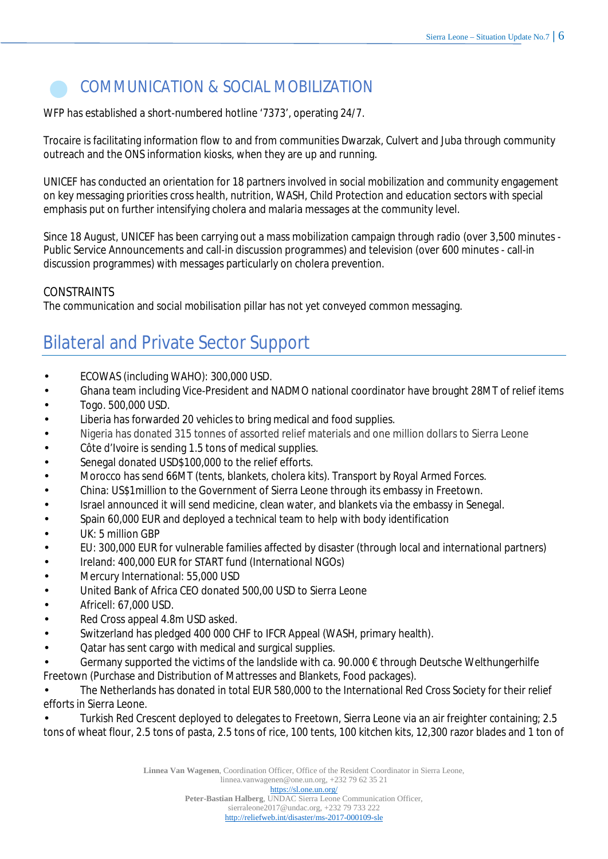### COMMUNICATION & SOCIAL MOBILIZATION

WFP has established a short-numbered hotline '7373', operating 24/7.

Trocaire is facilitating information flow to and from communities Dwarzak, Culvert and Juba through community outreach and the ONS information kiosks, when they are up and running.

UNICEF has conducted an orientation for 18 partners involved in social mobilization and community engagement on key messaging priorities cross health, nutrition, WASH, Child Protection and education sectors with special emphasis put on further intensifying cholera and malaria messages at the community level.

Since 18 August, UNICEF has been carrying out a mass mobilization campaign through radio (over 3,500 minutes - Public Service Announcements and call-in discussion programmes) and television (over 600 minutes - call-in discussion programmes) with messages particularly on cholera prevention.

#### CONSTRAINTS

The communication and social mobilisation pillar has not yet conveyed common messaging.

### Bilateral and Private Sector Support

- ECOWAS (including WAHO): 300,000 USD.
- Ghana team including Vice-President and NADMO national coordinator have brought 28MT of relief items
- Togo. 500,000 USD.
- Liberia has forwarded 20 vehicles to bring medical and food supplies.
- Nigeria has donated 315 tonnes of assorted relief materials and one million dollars to Sierra Leone
- Côte d'Ivoire is sending 1.5 tons of medical [supplies.](http://www.statehouse.gov.sl/index.php/component/content/article/34-news-articles/1822-west-africa-countries-offer-condolences-aid-to-sierra-leone-following-deadly-mudslide)
- Senegal donated USD\$100,000 to the relief efforts.
- Morocco has send 66MT (tents, blankets, cholera kits). Transport by Royal Armed Forces.
- China: US\$1million to the Government of Sierra Leone through its embassy in Freetown.
- Israel announced it will send medicine, clean water, and blankets via the embassy in Senegal.
- Spain 60,000 EUR and deployed a technical team to help with body identification
- UK: 5 million GBP
- EU: 300,000 EUR for vulnerable families affected by disaster (through local and international partners)
- Ireland: 400,000 EUR for START fund (International NGOs)
- Mercury International: 55,000 USD
- United Bank of Africa CEO donated 500,00 USD to Sierra Leone
- Africell: 67,000 USD.
- Red Cross appeal 4.8m USD asked.
- Switzerland has pledged 400 000 CHF to IFCR Appeal (WASH, primary health).
- Qatar has sent cargo with medical and surgical supplies.
- Germany supported the victims of the landslide with ca. 90.000 € through Deutsche Welthungerhilfe Freetown (Purchase and Distribution of Mattresses and Blankets, Food packages).

The Netherlands has donated in total EUR 580,000 to the International Red Cross Society for their relief efforts in Sierra Leone.

Turkish Red Crescent deployed to delegates to Freetown, Sierra Leone via an air freighter containing; 2.5 tons of wheat flour, 2.5 tons of pasta, 2.5 tons of rice, 100 tents, 100 kitchen kits, 12,300 razor blades and 1 ton of

**Linnea Van Wagenen**, Coordination Officer, Office of the Resident Coordinator in Sierra Leone,

linnea.vanwagenen@one.un.org, +232 79 62 35 21 <https://sl.one.un.org/>